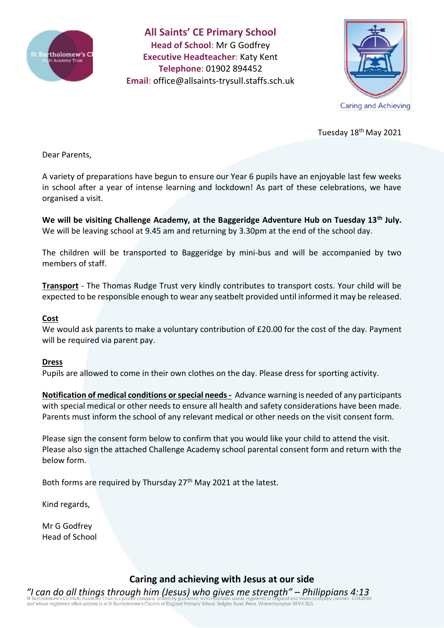

**All Saints' CE Primary School Head of School**: Mr G Godfrey **Executive Headteacher**: Katy Kent **Telephone**: 01902 894452 **Email**: [office@allsaints-trysull.staffs.sch.uk](mailto:office@allsaints-trysull.staffs.sch.uk)



Tuesday 18<sup>th</sup> May 2021

Dear Parents,

A variety of preparations have begun to ensure our Year 6 pupils have an enjoyable last few weeks in school after a year of intense learning and lockdown! As part of these celebrations, we have organised a visit.

**We will be visiting Challenge Academy, at the Baggeridge Adventure Hub on Tuesday 13th July.** We will be leaving school at 9.45 am and returning by 3.30pm at the end of the school day.

The children will be transported to Baggeridge by mini-bus and will be accompanied by two members of staff.

**Transport** - The Thomas Rudge Trust very kindly contributes to transport costs. Your child will be expected to be responsible enough to wear any seatbelt provided until informed it may be released.

#### **Cost**

We would ask parents to make a voluntary contribution of £20.00 for the cost of the day. Payment will be required via parent pay.

#### **Dress**

Pupils are allowed to come in their own clothes on the day. Please dress for sporting activity.

**Notification of medical conditions or special needs -** Advance warning is needed of any participants with special medical or other needs to ensure all health and safety considerations have been made. Parents must inform the school of any relevant medical or other needs on the visit consent form.

Please sign the consent form below to confirm that you would like your child to attend the visit. Please also sign the attached Challenge Academy school parental consent form and return with the below form.

Both forms are required by Thursday  $27<sup>th</sup>$  May 2021 at the latest.

Kind regards,

Mr G Godfrey Head of School

### **Caring and achieving with Jesus at our side**

*"I can do all things through him (Jesus) who gives me strength" – Philippians 4:13* of a discovering of the discovering in the product of England Primary School, Sedgley Road, Penn, Wolverhampton WV4 5LG.<br>and whose registered office address is at St Bartholomew's Church of England Primary School, Sedgley